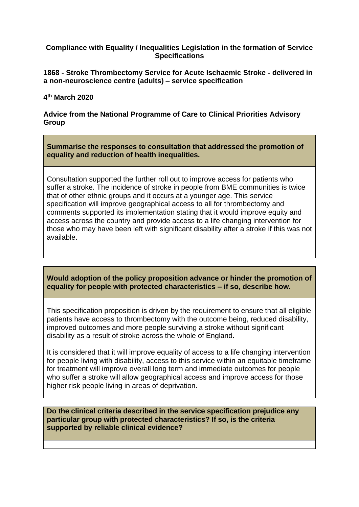## **Compliance with Equality / Inequalities Legislation in the formation of Service Specifications**

**1868 - Stroke Thrombectomy Service for Acute Ischaemic Stroke - delivered in a non-neuroscience centre (adults) – service specification**

## **4 th March 2020**

**Advice from the National Programme of Care to Clinical Priorities Advisory Group**

**Summarise the responses to consultation that addressed the promotion of equality and reduction of health inequalities.**

Consultation supported the further roll out to improve access for patients who suffer a stroke. The incidence of stroke in people from BME communities is twice that of other ethnic groups and it occurs at a younger age. This service specification will improve geographical access to all for thrombectomy and comments supported its implementation stating that it would improve equity and access across the country and provide access to a life changing intervention for those who may have been left with significant disability after a stroke if this was not available.

## **Would adoption of the policy proposition advance or hinder the promotion of equality for people with protected characteristics – if so, describe how.**

This specification proposition is driven by the requirement to ensure that all eligible patients have access to thrombectomy with the outcome being, reduced disability, improved outcomes and more people surviving a stroke without significant disability as a result of stroke across the whole of England.

It is considered that it will improve equality of access to a life changing intervention for people living with disability, access to this service within an equitable timeframe for treatment will improve overall long term and immediate outcomes for people who suffer a stroke will allow geographical access and improve access for those higher risk people living in areas of deprivation.

**Do the clinical criteria described in the service specification prejudice any particular group with protected characteristics? If so, is the criteria supported by reliable clinical evidence?**